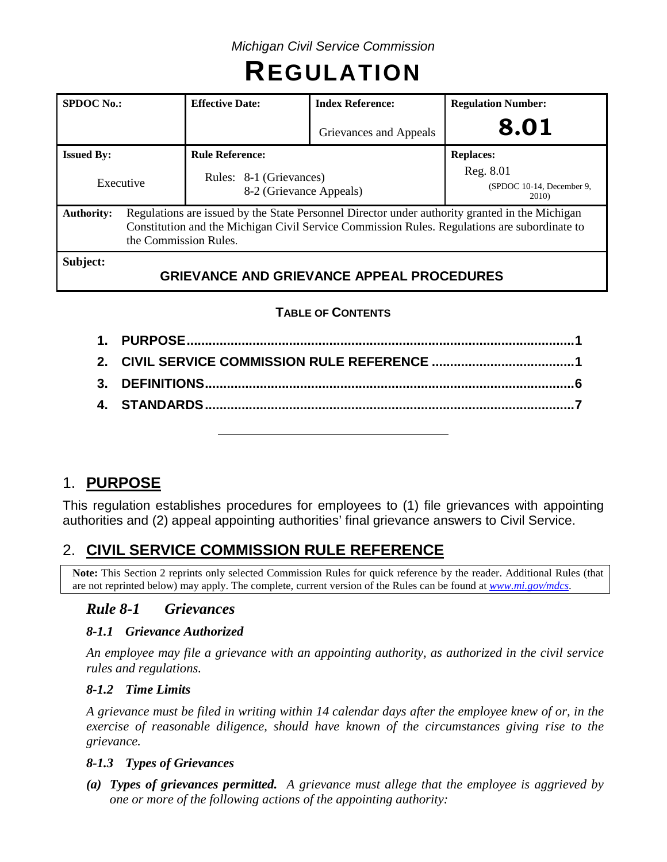# **REGULATION**

| <b>SPDOC</b> No.:                                                                                                                                                                                                                            | <b>Index Reference:</b><br><b>Effective Date:</b> |                                                  | <b>Regulation Number:</b>                             |  |
|----------------------------------------------------------------------------------------------------------------------------------------------------------------------------------------------------------------------------------------------|---------------------------------------------------|--------------------------------------------------|-------------------------------------------------------|--|
|                                                                                                                                                                                                                                              |                                                   | Grievances and Appeals                           | 8.01                                                  |  |
| <b>Issued By:</b>                                                                                                                                                                                                                            | <b>Rule Reference:</b>                            |                                                  | <b>Replaces:</b>                                      |  |
| Rules: 8-1 (Grievances)<br>Executive<br>8-2 (Grievance Appeals)                                                                                                                                                                              |                                                   |                                                  | Reg. 8.01<br>(SPDOC 10-14, December 9,<br><b>2010</b> |  |
| Regulations are issued by the State Personnel Director under authority granted in the Michigan<br><b>Authority:</b><br>Constitution and the Michigan Civil Service Commission Rules. Regulations are subordinate to<br>the Commission Rules. |                                                   |                                                  |                                                       |  |
| Subject:                                                                                                                                                                                                                                     |                                                   | <b>GRIEVANCE AND GRIEVANCE APPEAL PROCEDURES</b> |                                                       |  |

# **TABLE OF CONTENTS**

# 1. **PURPOSE**

This regulation establishes procedures for employees to (1) file grievances with appointing authorities and (2) appeal appointing authorities' final grievance answers to Civil Service.

# 2. **CIVIL SERVICE COMMISSION RULE REFERENCE**

**Note:** This Section 2 reprints only selected Commission Rules for quick reference by the reader. Additional Rules (that are not reprinted below) may apply. The complete, current version of the Rules can be found at *[www.mi.gov/mdcs](http://www.mi.gov/mdcs)*.

# *Rule 8-1 Grievances*

### *8-1.1 Grievance Authorized*

*An employee may file a grievance with an appointing authority, as authorized in the civil service rules and regulations.*

### *8-1.2 Time Limits*

*A grievance must be filed in writing within 14 calendar days after the employee knew of or, in the exercise of reasonable diligence, should have known of the circumstances giving rise to the grievance.*

### *8-1.3 Types of Grievances*

*(a) Types of grievances permitted. A grievance must allege that the employee is aggrieved by one or more of the following actions of the appointing authority:*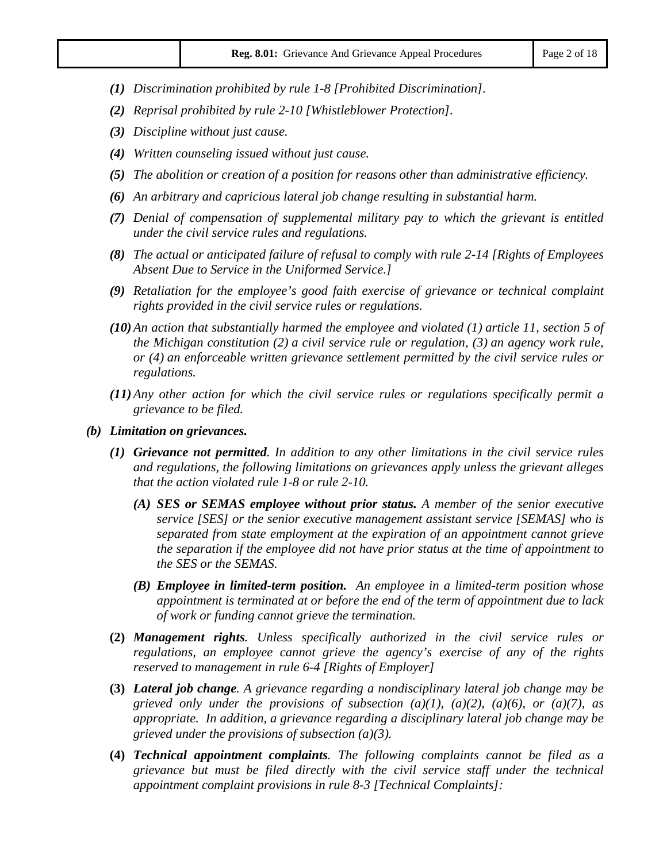- *(1) Discrimination prohibited by rule 1-8 [Prohibited Discrimination].*
- *(2) Reprisal prohibited by rule 2-10 [Whistleblower Protection].*
- *(3) Discipline without just cause.*
- *(4) Written counseling issued without just cause.*
- *(5) The abolition or creation of a position for reasons other than administrative efficiency.*
- *(6) An arbitrary and capricious lateral job change resulting in substantial harm.*
- *(7) Denial of compensation of supplemental military pay to which the grievant is entitled under the civil service rules and regulations.*
- *(8) The actual or anticipated failure of refusal to comply with rule 2-14 [Rights of Employees Absent Due to Service in the Uniformed Service.]*
- *(9) Retaliation for the employee's good faith exercise of grievance or technical complaint rights provided in the civil service rules or regulations.*
- *(10)An action that substantially harmed the employee and violated (1) article 11, section 5 of the Michigan constitution (2) a civil service rule or regulation, (3) an agency work rule, or (4) an enforceable written grievance settlement permitted by the civil service rules or regulations.*
- *(11)Any other action for which the civil service rules or regulations specifically permit a grievance to be filed.*
- *(b) Limitation on grievances.*
	- *(1) Grievance not permitted. In addition to any other limitations in the civil service rules and regulations, the following limitations on grievances apply unless the grievant alleges that the action violated rule 1-8 or rule 2-10.*
		- *(A) SES or SEMAS employee without prior status. A member of the senior executive service [SES] or the senior executive management assistant service [SEMAS] who is separated from state employment at the expiration of an appointment cannot grieve the separation if the employee did not have prior status at the time of appointment to the SES or the SEMAS.*
		- *(B) Employee in limited-term position. An employee in a limited-term position whose appointment is terminated at or before the end of the term of appointment due to lack of work or funding cannot grieve the termination.*
	- **(2)** *Management rights. Unless specifically authorized in the civil service rules or regulations, an employee cannot grieve the agency's exercise of any of the rights reserved to management in rule 6-4 [Rights of Employer]*
	- **(3)** *Lateral job change. A grievance regarding a nondisciplinary lateral job change may be grieved only under the provisions of subsection (a)(1), (a)(2), (a)(6), or (a)(7), as appropriate. In addition, a grievance regarding a disciplinary lateral job change may be grieved under the provisions of subsection (a)(3).*
	- **(4)** *Technical appointment complaints. The following complaints cannot be filed as a grievance but must be filed directly with the civil service staff under the technical appointment complaint provisions in rule 8-3 [Technical Complaints]:*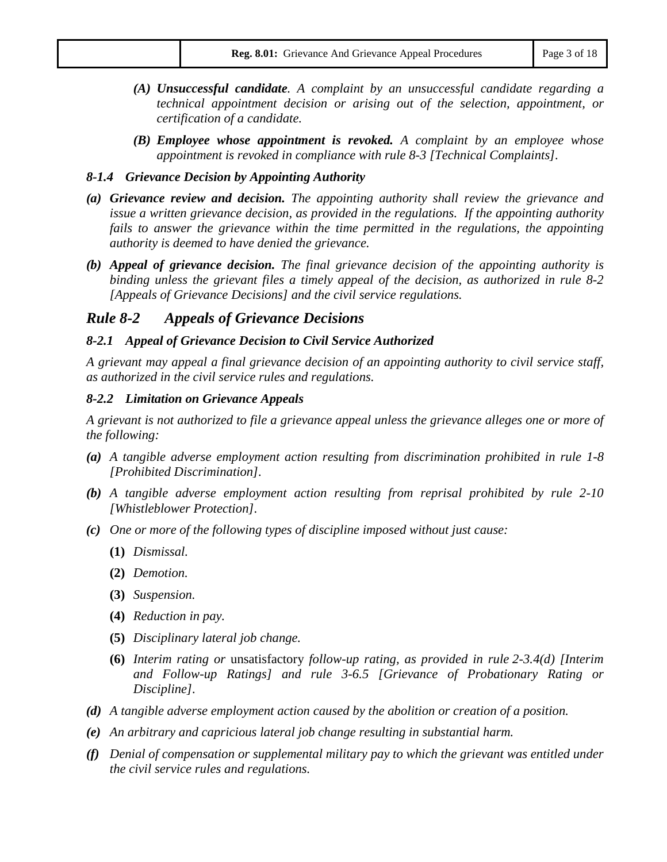- *(A) Unsuccessful candidate. A complaint by an unsuccessful candidate regarding a technical appointment decision or arising out of the selection, appointment, or certification of a candidate.*
- *(B) Employee whose appointment is revoked. A complaint by an employee whose appointment is revoked in compliance with rule 8-3 [Technical Complaints].*

#### *8-1.4 Grievance Decision by Appointing Authority*

- *(a) Grievance review and decision. The appointing authority shall review the grievance and issue a written grievance decision, as provided in the regulations. If the appointing authority*  fails to answer the grievance within the time permitted in the regulations, the appointing *authority is deemed to have denied the grievance.*
- *(b) Appeal of grievance decision. The final grievance decision of the appointing authority is binding unless the grievant files a timely appeal of the decision, as authorized in rule 8-2 [Appeals of Grievance Decisions] and the civil service regulations.*

### *Rule 8-2 Appeals of Grievance Decisions*

#### *8-2.1 Appeal of Grievance Decision to Civil Service Authorized*

*A grievant may appeal a final grievance decision of an appointing authority to civil service staff, as authorized in the civil service rules and regulations.*

#### *8-2.2 Limitation on Grievance Appeals*

*A grievant is not authorized to file a grievance appeal unless the grievance alleges one or more of the following:*

- *(a) A tangible adverse employment action resulting from discrimination prohibited in rule 1-8 [Prohibited Discrimination].*
- *(b) A tangible adverse employment action resulting from reprisal prohibited by rule 2-10 [Whistleblower Protection].*
- *(c) One or more of the following types of discipline imposed without just cause:*
	- **(1)** *Dismissal.*
	- **(2)** *Demotion.*
	- **(3)** *Suspension.*
	- **(4)** *Reduction in pay.*
	- **(5)** *Disciplinary lateral job change.*
	- **(6)** *Interim rating or* unsatisfactory *follow-up rating, as provided in rule 2-3.4(d) [Interim and Follow-up Ratings] and rule 3-6.5 [Grievance of Probationary Rating or Discipline].*
- *(d) A tangible adverse employment action caused by the abolition or creation of a position.*
- *(e) An arbitrary and capricious lateral job change resulting in substantial harm.*
- *(f) Denial of compensation or supplemental military pay to which the grievant was entitled under the civil service rules and regulations.*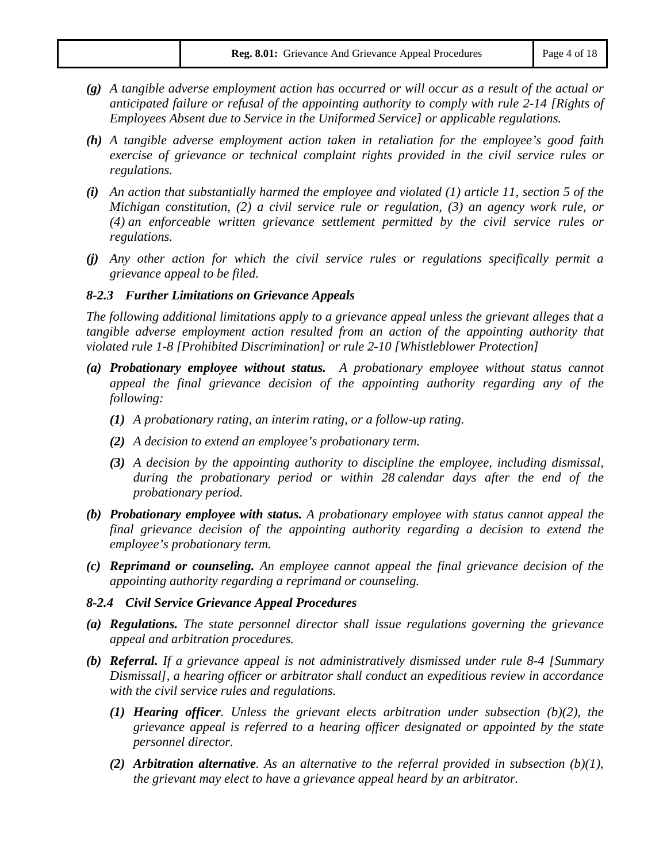- *(g) A tangible adverse employment action has occurred or will occur as a result of the actual or anticipated failure or refusal of the appointing authority to comply with rule 2-14 [Rights of Employees Absent due to Service in the Uniformed Service] or applicable regulations.*
- *(h) A tangible adverse employment action taken in retaliation for the employee's good faith exercise of grievance or technical complaint rights provided in the civil service rules or regulations.*
- *(i) An action that substantially harmed the employee and violated (1) article 11, section 5 of the Michigan constitution, (2) a civil service rule or regulation, (3) an agency work rule, or (4) an enforceable written grievance settlement permitted by the civil service rules or regulations.*
- *(j) Any other action for which the civil service rules or regulations specifically permit a grievance appeal to be filed.*

#### *8-2.3 Further Limitations on Grievance Appeals*

*The following additional limitations apply to a grievance appeal unless the grievant alleges that a tangible adverse employment action resulted from an action of the appointing authority that violated rule 1-8 [Prohibited Discrimination] or rule 2-10 [Whistleblower Protection]*

- *(a) Probationary employee without status. A probationary employee without status cannot appeal the final grievance decision of the appointing authority regarding any of the following:*
	- *(1) A probationary rating, an interim rating, or a follow-up rating.*
	- *(2) A decision to extend an employee's probationary term.*
	- *(3) A decision by the appointing authority to discipline the employee, including dismissal, during the probationary period or within 28 calendar days after the end of the probationary period.*
- *(b) Probationary employee with status. A probationary employee with status cannot appeal the final grievance decision of the appointing authority regarding a decision to extend the employee's probationary term.*
- *(c) Reprimand or counseling. An employee cannot appeal the final grievance decision of the appointing authority regarding a reprimand or counseling.*

#### *8-2.4 Civil Service Grievance Appeal Procedures*

- *(a) Regulations. The state personnel director shall issue regulations governing the grievance appeal and arbitration procedures.*
- *(b) Referral. If a grievance appeal is not administratively dismissed under rule 8-4 [Summary Dismissal], a hearing officer or arbitrator shall conduct an expeditious review in accordance with the civil service rules and regulations.*
	- *(1) Hearing officer. Unless the grievant elects arbitration under subsection (b)(2), the grievance appeal is referred to a hearing officer designated or appointed by the state personnel director.*
	- *(2) Arbitration alternative. As an alternative to the referral provided in subsection (b)(1), the grievant may elect to have a grievance appeal heard by an arbitrator.*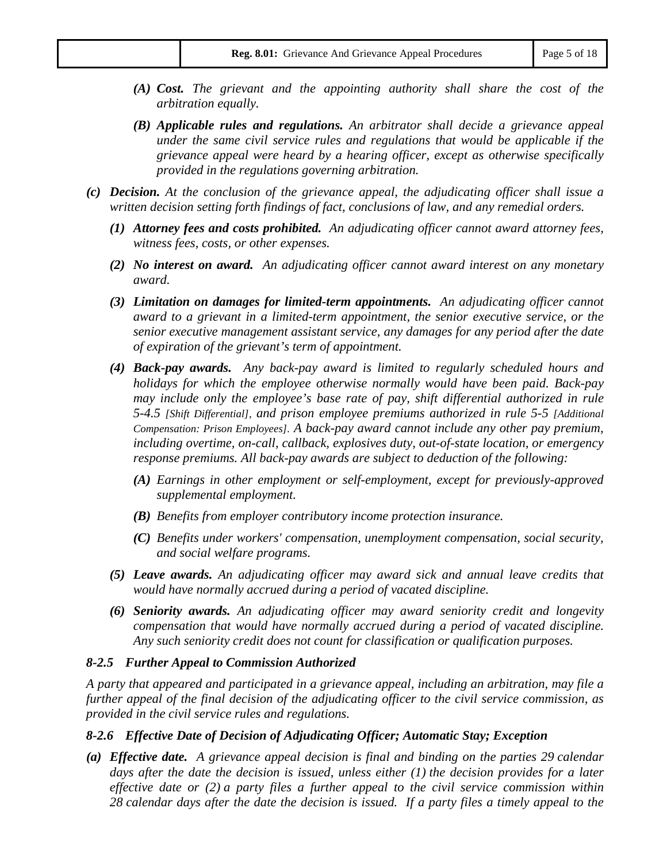- *(A) Cost. The grievant and the appointing authority shall share the cost of the arbitration equally.*
- *(B) Applicable rules and regulations. An arbitrator shall decide a grievance appeal under the same civil service rules and regulations that would be applicable if the grievance appeal were heard by a hearing officer, except as otherwise specifically provided in the regulations governing arbitration.*
- *(c) Decision. At the conclusion of the grievance appeal, the adjudicating officer shall issue a written decision setting forth findings of fact, conclusions of law, and any remedial orders.*
	- *(1) Attorney fees and costs prohibited. An adjudicating officer cannot award attorney fees, witness fees, costs, or other expenses.*
	- *(2) No interest on award. An adjudicating officer cannot award interest on any monetary award.*
	- *(3) Limitation on damages for limited-term appointments. An adjudicating officer cannot award to a grievant in a limited-term appointment, the senior executive service, or the senior executive management assistant service, any damages for any period after the date of expiration of the grievant's term of appointment.*
	- *(4) Back-pay awards. Any back-pay award is limited to regularly scheduled hours and holidays for which the employee otherwise normally would have been paid. Back-pay may include only the employee's base rate of pay, shift differential authorized in rule 5-4.5 [Shift Differential], and prison employee premiums authorized in rule 5-5 [Additional Compensation: Prison Employees]. A back-pay award cannot include any other pay premium, including overtime, on-call, callback, explosives duty, out-of-state location, or emergency response premiums. All back-pay awards are subject to deduction of the following:*
		- *(A) Earnings in other employment or self-employment, except for previously-approved supplemental employment.*
		- *(B) Benefits from employer contributory income protection insurance.*
		- *(C) Benefits under workers' compensation, unemployment compensation, social security, and social welfare programs.*
	- *(5) Leave awards. An adjudicating officer may award sick and annual leave credits that would have normally accrued during a period of vacated discipline.*
	- *(6) Seniority awards. An adjudicating officer may award seniority credit and longevity compensation that would have normally accrued during a period of vacated discipline. Any such seniority credit does not count for classification or qualification purposes.*

#### *8-2.5 Further Appeal to Commission Authorized*

*A party that appeared and participated in a grievance appeal, including an arbitration, may file a further appeal of the final decision of the adjudicating officer to the civil service commission, as provided in the civil service rules and regulations.*

#### *8-2.6 Effective Date of Decision of Adjudicating Officer; Automatic Stay; Exception*

*(a) Effective date. A grievance appeal decision is final and binding on the parties 29 calendar days after the date the decision is issued, unless either (1) the decision provides for a later effective date or (2) a party files a further appeal to the civil service commission within 28 calendar days after the date the decision is issued. If a party files a timely appeal to the*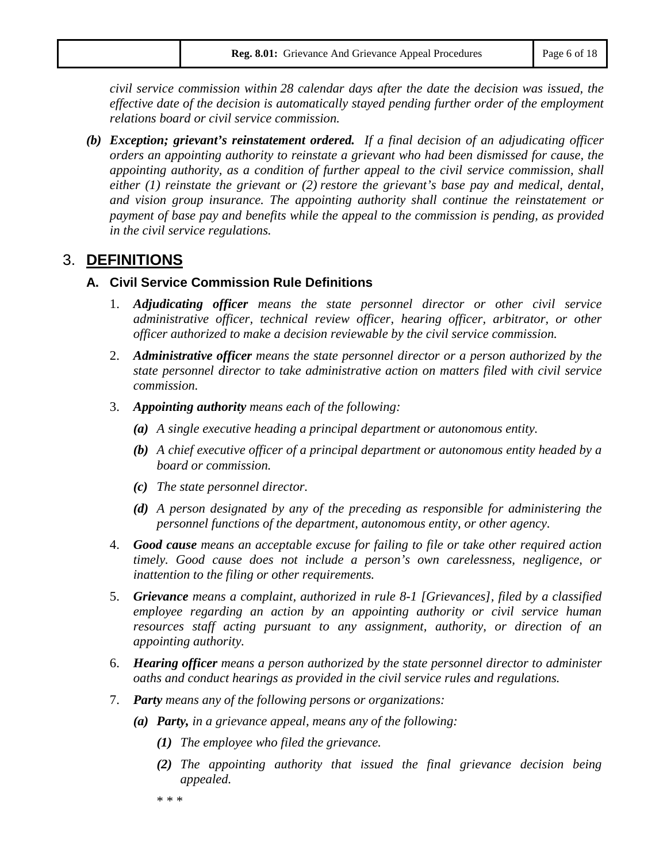*civil service commission within 28 calendar days after the date the decision was issued, the effective date of the decision is automatically stayed pending further order of the employment relations board or civil service commission.*

*(b) Exception; grievant's reinstatement ordered. If a final decision of an adjudicating officer orders an appointing authority to reinstate a grievant who had been dismissed for cause, the appointing authority, as a condition of further appeal to the civil service commission, shall either (1) reinstate the grievant or (2) restore the grievant's base pay and medical, dental, and vision group insurance. The appointing authority shall continue the reinstatement or payment of base pay and benefits while the appeal to the commission is pending, as provided in the civil service regulations.*

# 3. **DEFINITIONS**

#### **A. Civil Service Commission Rule Definitions**

- 1. *Adjudicating officer means the state personnel director or other civil service administrative officer, technical review officer, hearing officer, arbitrator, or other officer authorized to make a decision reviewable by the civil service commission.*
- 2. *Administrative officer means the state personnel director or a person authorized by the state personnel director to take administrative action on matters filed with civil service commission.*
- 3. *Appointing authority means each of the following:*
	- *(a) A single executive heading a principal department or autonomous entity.*
	- *(b) A chief executive officer of a principal department or autonomous entity headed by a board or commission.*
	- *(c) The state personnel director.*
	- *(d) A person designated by any of the preceding as responsible for administering the personnel functions of the department, autonomous entity, or other agency.*
- 4. *Good cause means an acceptable excuse for failing to file or take other required action timely. Good cause does not include a person's own carelessness, negligence, or inattention to the filing or other requirements.*
- 5. *Grievance means a complaint, authorized in rule 8-1 [Grievances], filed by a classified employee regarding an action by an appointing authority or civil service human resources staff acting pursuant to any assignment, authority, or direction of an appointing authority.*
- 6. *Hearing officer means a person authorized by the state personnel director to administer oaths and conduct hearings as provided in the civil service rules and regulations.*
- 7. *Party means any of the following persons or organizations:*
	- *(a) Party, in a grievance appeal, means any of the following:*
		- *(1) The employee who filed the grievance.*
		- *(2) The appointing authority that issued the final grievance decision being appealed.*

\* \* \*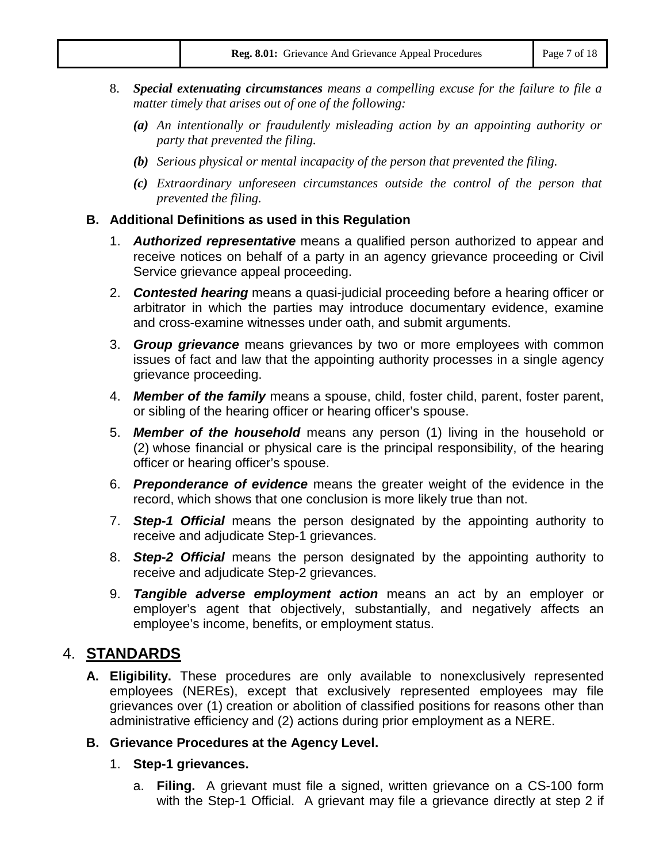- 8. *Special extenuating circumstances means a compelling excuse for the failure to file a matter timely that arises out of one of the following:*
	- *(a) An intentionally or fraudulently misleading action by an appointing authority or party that prevented the filing.*
	- *(b) Serious physical or mental incapacity of the person that prevented the filing.*
	- *(c) Extraordinary unforeseen circumstances outside the control of the person that prevented the filing.*

### **B. Additional Definitions as used in this Regulation**

- 1. *Authorized representative* means a qualified person authorized to appear and receive notices on behalf of a party in an agency grievance proceeding or Civil Service grievance appeal proceeding.
- 2. *Contested hearing* means a quasi-judicial proceeding before a hearing officer or arbitrator in which the parties may introduce documentary evidence, examine and cross-examine witnesses under oath, and submit arguments.
- 3. *Group grievance* means grievances by two or more employees with common issues of fact and law that the appointing authority processes in a single agency grievance proceeding.
- 4. *Member of the family* means a spouse, child, foster child, parent, foster parent, or sibling of the hearing officer or hearing officer's spouse.
- 5. *Member of the household* means any person (1) living in the household or (2) whose financial or physical care is the principal responsibility, of the hearing officer or hearing officer's spouse.
- 6. *Preponderance of evidence* means the greater weight of the evidence in the record, which shows that one conclusion is more likely true than not.
- 7. *Step-1 Official* means the person designated by the appointing authority to receive and adjudicate Step-1 grievances.
- 8. *Step-2 Official* means the person designated by the appointing authority to receive and adjudicate Step-2 grievances.
- 9. *Tangible adverse employment action* means an act by an employer or employer's agent that objectively, substantially, and negatively affects an employee's income, benefits, or employment status.

# 4. **STANDARDS**

**A. Eligibility.** These procedures are only available to nonexclusively represented employees (NEREs), except that exclusively represented employees may file grievances over (1) creation or abolition of classified positions for reasons other than administrative efficiency and (2) actions during prior employment as a NERE.

### **B. Grievance Procedures at the Agency Level.**

- 1. **Step-1 grievances.**
	- a. **Filing.** A grievant must file a signed, written grievance on a CS-100 form with the Step-1 Official. A grievant may file a grievance directly at step 2 if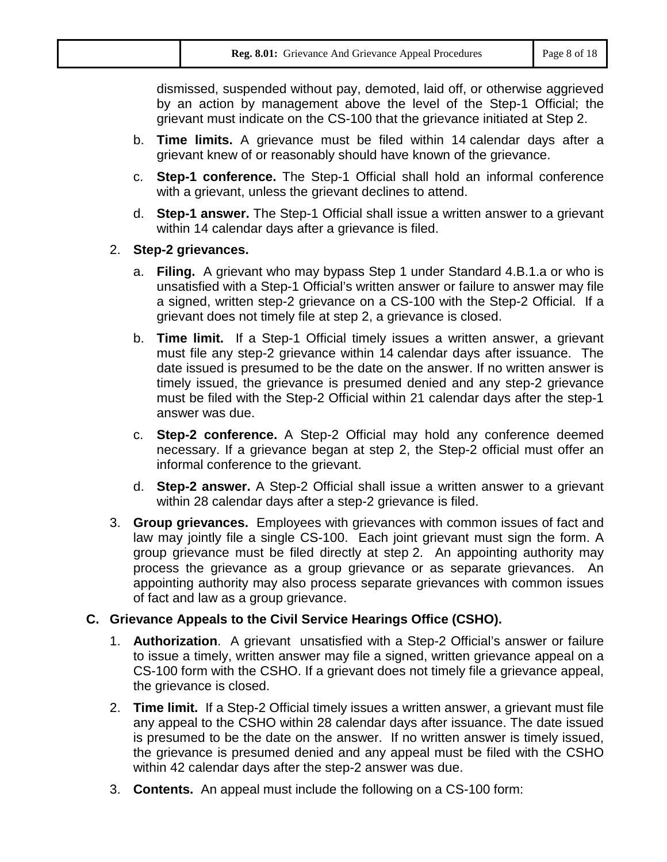|  | <b>Reg. 8.01:</b> Grievance And Grievance Appeal Procedures | Page 8 of 18 |
|--|-------------------------------------------------------------|--------------|
|--|-------------------------------------------------------------|--------------|

dismissed, suspended without pay, demoted, laid off, or otherwise aggrieved by an action by management above the level of the Step-1 Official; the grievant must indicate on the CS-100 that the grievance initiated at Step 2.

- b. **Time limits.** A grievance must be filed within 14 calendar days after a grievant knew of or reasonably should have known of the grievance.
- c. **Step-1 conference.** The Step-1 Official shall hold an informal conference with a grievant, unless the grievant declines to attend.
- d. **Step-1 answer.** The Step-1 Official shall issue a written answer to a grievant within 14 calendar days after a grievance is filed.

### 2. **Step-2 grievances.**

- a. **Filing.** A grievant who may bypass Step 1 under Standard 4.B.1.a or who is unsatisfied with a Step-1 Official's written answer or failure to answer may file a signed, written step-2 grievance on a CS-100 with the Step-2 Official. If a grievant does not timely file at step 2, a grievance is closed.
- b. **Time limit.** If a Step-1 Official timely issues a written answer, a grievant must file any step-2 grievance within 14 calendar days after issuance. The date issued is presumed to be the date on the answer. If no written answer is timely issued, the grievance is presumed denied and any step-2 grievance must be filed with the Step-2 Official within 21 calendar days after the step-1 answer was due.
- c. **Step-2 conference.** A Step-2 Official may hold any conference deemed necessary. If a grievance began at step 2, the Step-2 official must offer an informal conference to the grievant.
- d. **Step-2 answer.** A Step-2 Official shall issue a written answer to a grievant within 28 calendar days after a step-2 grievance is filed.
- 3. **Group grievances.** Employees with grievances with common issues of fact and law may jointly file a single CS-100. Each joint grievant must sign the form. A group grievance must be filed directly at step 2. An appointing authority may process the grievance as a group grievance or as separate grievances. An appointing authority may also process separate grievances with common issues of fact and law as a group grievance.

# **C. Grievance Appeals to the Civil Service Hearings Office (CSHO).**

- 1. **Authorization**. A grievant unsatisfied with a Step-2 Official's answer or failure to issue a timely, written answer may file a signed, written grievance appeal on a CS-100 form with the CSHO. If a grievant does not timely file a grievance appeal, the grievance is closed.
- 2. **Time limit.** If a Step-2 Official timely issues a written answer, a grievant must file any appeal to the CSHO within 28 calendar days after issuance. The date issued is presumed to be the date on the answer. If no written answer is timely issued, the grievance is presumed denied and any appeal must be filed with the CSHO within 42 calendar days after the step-2 answer was due.
- 3. **Contents.** An appeal must include the following on a CS-100 form: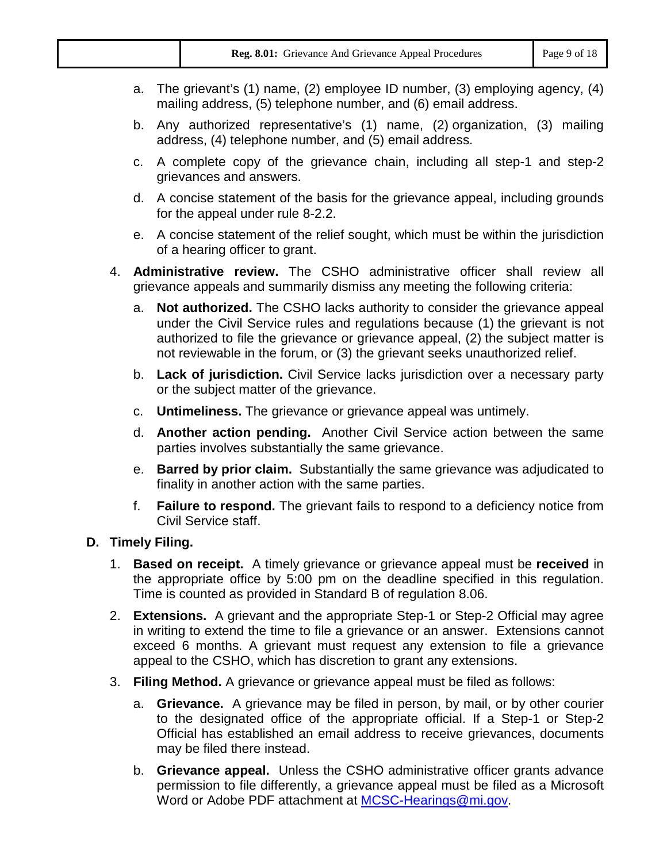| Reg. 8.01: Grievance And Grievance Appeal Procedures | Page 9 of 18 |
|------------------------------------------------------|--------------|
|------------------------------------------------------|--------------|

- a. The grievant's (1) name, (2) employee ID number, (3) employing agency, (4) mailing address, (5) telephone number, and (6) email address.
- b. Any authorized representative's (1) name, (2) organization, (3) mailing address, (4) telephone number, and (5) email address.
- c. A complete copy of the grievance chain, including all step-1 and step-2 grievances and answers.
- d. A concise statement of the basis for the grievance appeal, including grounds for the appeal under rule 8-2.2.
- e. A concise statement of the relief sought, which must be within the jurisdiction of a hearing officer to grant.
- 4. **Administrative review.** The CSHO administrative officer shall review all grievance appeals and summarily dismiss any meeting the following criteria:
	- a. **Not authorized.** The CSHO lacks authority to consider the grievance appeal under the Civil Service rules and regulations because (1) the grievant is not authorized to file the grievance or grievance appeal, (2) the subject matter is not reviewable in the forum, or (3) the grievant seeks unauthorized relief.
	- b. **Lack of jurisdiction.** Civil Service lacks jurisdiction over a necessary party or the subject matter of the grievance.
	- c. **Untimeliness.** The grievance or grievance appeal was untimely.
	- d. **Another action pending.** Another Civil Service action between the same parties involves substantially the same grievance.
	- e. **Barred by prior claim.** Substantially the same grievance was adjudicated to finality in another action with the same parties.
	- f. **Failure to respond.** The grievant fails to respond to a deficiency notice from Civil Service staff.

### **D. Timely Filing.**

- 1. **Based on receipt.** A timely grievance or grievance appeal must be **received** in the appropriate office by 5:00 pm on the deadline specified in this regulation. Time is counted as provided in Standard B of regulation 8.06.
- 2. **Extensions.** A grievant and the appropriate Step-1 or Step-2 Official may agree in writing to extend the time to file a grievance or an answer. Extensions cannot exceed 6 months. A grievant must request any extension to file a grievance appeal to the CSHO, which has discretion to grant any extensions.
- 3. **Filing Method.** A grievance or grievance appeal must be filed as follows:
	- a. **Grievance.** A grievance may be filed in person, by mail, or by other courier to the designated office of the appropriate official. If a Step-1 or Step-2 Official has established an email address to receive grievances, documents may be filed there instead.
	- b. **Grievance appeal.** Unless the CSHO administrative officer grants advance permission to file differently, a grievance appeal must be filed as a Microsoft Word or Adobe PDF attachment at [MCSC-Hearings@mi.gov.](mailto:MCSC-Hearings@mi.gov)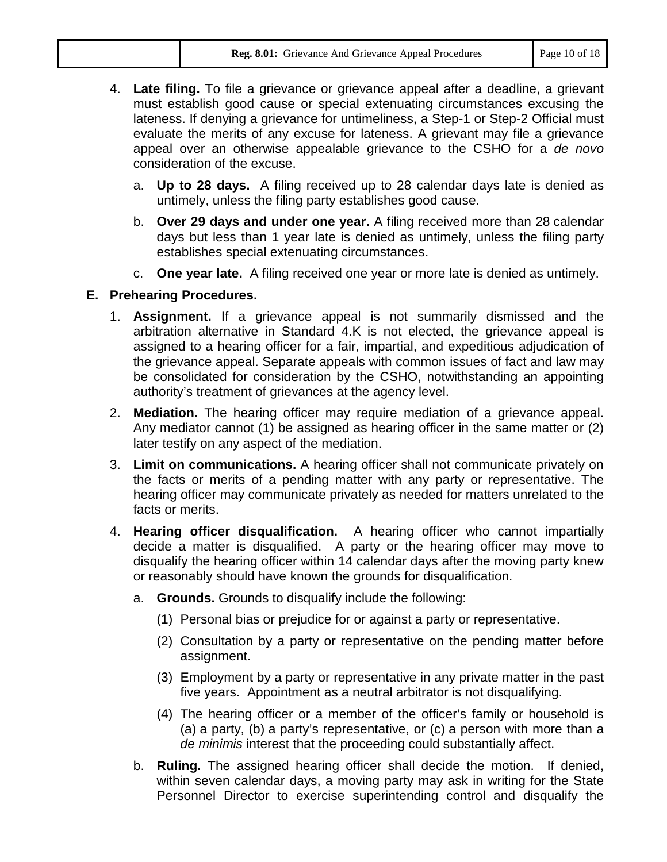|  | <b>Reg. 8.01:</b> Grievance And Grievance Appeal Procedures | Page 10 of 18 |
|--|-------------------------------------------------------------|---------------|
|--|-------------------------------------------------------------|---------------|

- 4. **Late filing.** To file a grievance or grievance appeal after a deadline, a grievant must establish good cause or special extenuating circumstances excusing the lateness. If denying a grievance for untimeliness, a Step-1 or Step-2 Official must evaluate the merits of any excuse for lateness. A grievant may file a grievance appeal over an otherwise appealable grievance to the CSHO for a *de novo* consideration of the excuse.
	- a. **Up to 28 days.** A filing received up to 28 calendar days late is denied as untimely, unless the filing party establishes good cause.
	- b. **Over 29 days and under one year.** A filing received more than 28 calendar days but less than 1 year late is denied as untimely, unless the filing party establishes special extenuating circumstances.
	- c. **One year late.** A filing received one year or more late is denied as untimely.

## **E. Prehearing Procedures.**

- 1. **Assignment.** If a grievance appeal is not summarily dismissed and the arbitration alternative in Standard 4.K is not elected, the grievance appeal is assigned to a hearing officer for a fair, impartial, and expeditious adjudication of the grievance appeal. Separate appeals with common issues of fact and law may be consolidated for consideration by the CSHO, notwithstanding an appointing authority's treatment of grievances at the agency level.
- 2. **Mediation.** The hearing officer may require mediation of a grievance appeal. Any mediator cannot (1) be assigned as hearing officer in the same matter or (2) later testify on any aspect of the mediation.
- 3. **Limit on communications.** A hearing officer shall not communicate privately on the facts or merits of a pending matter with any party or representative. The hearing officer may communicate privately as needed for matters unrelated to the facts or merits.
- 4. **Hearing officer disqualification.** A hearing officer who cannot impartially decide a matter is disqualified. A party or the hearing officer may move to disqualify the hearing officer within 14 calendar days after the moving party knew or reasonably should have known the grounds for disqualification.
	- a. **Grounds.** Grounds to disqualify include the following:
		- (1) Personal bias or prejudice for or against a party or representative.
		- (2) Consultation by a party or representative on the pending matter before assignment.
		- (3) Employment by a party or representative in any private matter in the past five years. Appointment as a neutral arbitrator is not disqualifying.
		- (4) The hearing officer or a member of the officer's family or household is (a) a party, (b) a party's representative, or (c) a person with more than a *de minimis* interest that the proceeding could substantially affect.
	- b. **Ruling.** The assigned hearing officer shall decide the motion. If denied, within seven calendar days, a moving party may ask in writing for the State Personnel Director to exercise superintending control and disqualify the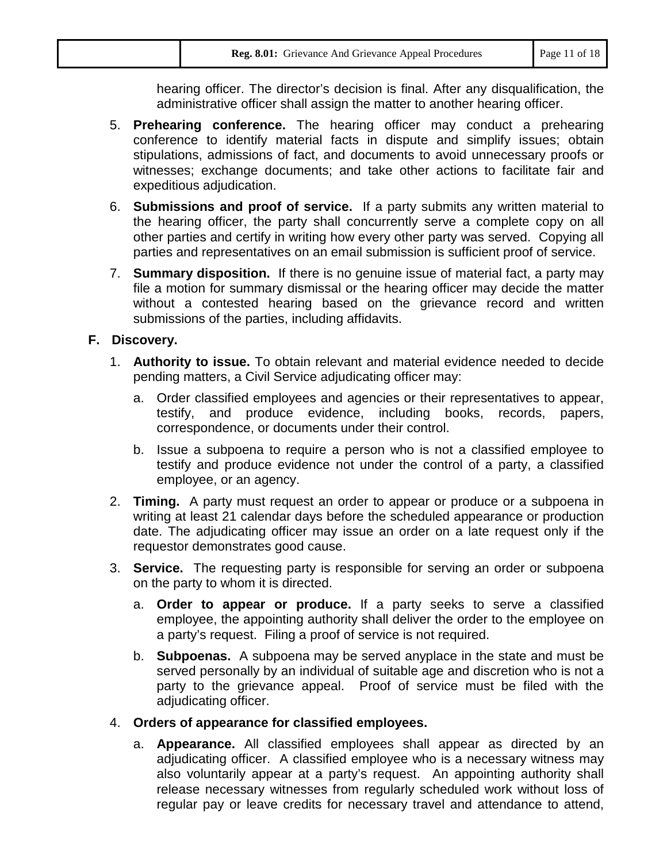| Page 11 of 18<br>Reg. 8.01: Grievance And Grievance Appeal Procedures |
|-----------------------------------------------------------------------|
|-----------------------------------------------------------------------|

hearing officer. The director's decision is final. After any disqualification, the administrative officer shall assign the matter to another hearing officer.

- 5. **Prehearing conference.** The hearing officer may conduct a prehearing conference to identify material facts in dispute and simplify issues; obtain stipulations, admissions of fact, and documents to avoid unnecessary proofs or witnesses; exchange documents; and take other actions to facilitate fair and expeditious adjudication.
- 6. **Submissions and proof of service.** If a party submits any written material to the hearing officer, the party shall concurrently serve a complete copy on all other parties and certify in writing how every other party was served. Copying all parties and representatives on an email submission is sufficient proof of service.
- 7. **Summary disposition.** If there is no genuine issue of material fact, a party may file a motion for summary dismissal or the hearing officer may decide the matter without a contested hearing based on the grievance record and written submissions of the parties, including affidavits.

#### **F. Discovery.**

- 1. **Authority to issue.** To obtain relevant and material evidence needed to decide pending matters, a Civil Service adjudicating officer may:
	- a. Order classified employees and agencies or their representatives to appear, testify, and produce evidence, including books, records, papers, correspondence, or documents under their control.
	- b. Issue a subpoena to require a person who is not a classified employee to testify and produce evidence not under the control of a party, a classified employee, or an agency.
- 2. **Timing.** A party must request an order to appear or produce or a subpoena in writing at least 21 calendar days before the scheduled appearance or production date. The adjudicating officer may issue an order on a late request only if the requestor demonstrates good cause.
- 3. **Service.** The requesting party is responsible for serving an order or subpoena on the party to whom it is directed.
	- a. **Order to appear or produce.** If a party seeks to serve a classified employee, the appointing authority shall deliver the order to the employee on a party's request. Filing a proof of service is not required.
	- b. **Subpoenas.** A subpoena may be served anyplace in the state and must be served personally by an individual of suitable age and discretion who is not a party to the grievance appeal. Proof of service must be filed with the adjudicating officer.
- 4. **Orders of appearance for classified employees.**
	- a. **Appearance.** All classified employees shall appear as directed by an adjudicating officer. A classified employee who is a necessary witness may also voluntarily appear at a party's request. An appointing authority shall release necessary witnesses from regularly scheduled work without loss of regular pay or leave credits for necessary travel and attendance to attend,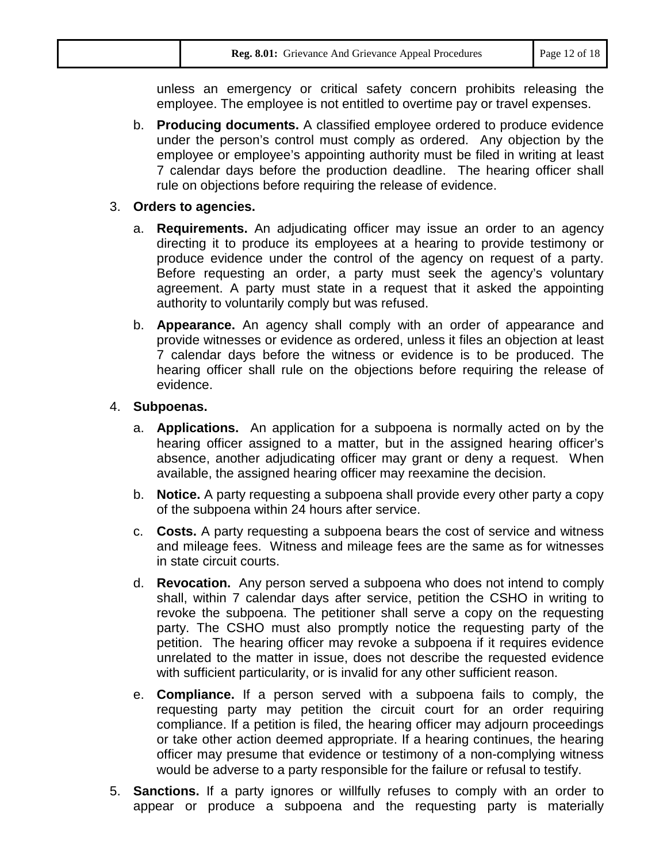|  | Reg. 8.01: Grievance And Grievance Appeal Procedures | Page 12 of 18 |
|--|------------------------------------------------------|---------------|
|--|------------------------------------------------------|---------------|

unless an emergency or critical safety concern prohibits releasing the employee. The employee is not entitled to overtime pay or travel expenses.

b. **Producing documents.** A classified employee ordered to produce evidence under the person's control must comply as ordered. Any objection by the employee or employee's appointing authority must be filed in writing at least 7 calendar days before the production deadline. The hearing officer shall rule on objections before requiring the release of evidence.

#### 3. **Orders to agencies.**

- a. **Requirements.** An adjudicating officer may issue an order to an agency directing it to produce its employees at a hearing to provide testimony or produce evidence under the control of the agency on request of a party. Before requesting an order, a party must seek the agency's voluntary agreement. A party must state in a request that it asked the appointing authority to voluntarily comply but was refused.
- b. **Appearance.** An agency shall comply with an order of appearance and provide witnesses or evidence as ordered, unless it files an objection at least 7 calendar days before the witness or evidence is to be produced. The hearing officer shall rule on the objections before requiring the release of evidence.

#### 4. **Subpoenas.**

- a. **Applications.** An application for a subpoena is normally acted on by the hearing officer assigned to a matter, but in the assigned hearing officer's absence, another adjudicating officer may grant or deny a request. When available, the assigned hearing officer may reexamine the decision.
- b. **Notice.** A party requesting a subpoena shall provide every other party a copy of the subpoena within 24 hours after service.
- c. **Costs.** A party requesting a subpoena bears the cost of service and witness and mileage fees. Witness and mileage fees are the same as for witnesses in state circuit courts.
- d. **Revocation.** Any person served a subpoena who does not intend to comply shall, within 7 calendar days after service, petition the CSHO in writing to revoke the subpoena. The petitioner shall serve a copy on the requesting party. The CSHO must also promptly notice the requesting party of the petition. The hearing officer may revoke a subpoena if it requires evidence unrelated to the matter in issue, does not describe the requested evidence with sufficient particularity, or is invalid for any other sufficient reason.
- e. **Compliance.** If a person served with a subpoena fails to comply, the requesting party may petition the circuit court for an order requiring compliance. If a petition is filed, the hearing officer may adjourn proceedings or take other action deemed appropriate. If a hearing continues, the hearing officer may presume that evidence or testimony of a non-complying witness would be adverse to a party responsible for the failure or refusal to testify.
- 5. **Sanctions.** If a party ignores or willfully refuses to comply with an order to appear or produce a subpoena and the requesting party is materially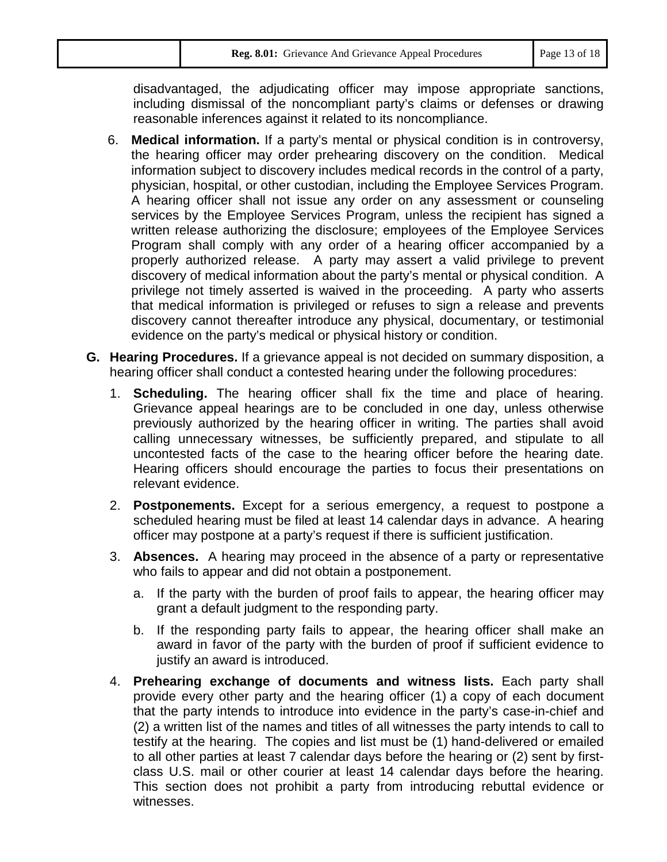disadvantaged, the adjudicating officer may impose appropriate sanctions, including dismissal of the noncompliant party's claims or defenses or drawing reasonable inferences against it related to its noncompliance.

- 6. **Medical information.** If a party's mental or physical condition is in controversy, the hearing officer may order prehearing discovery on the condition. Medical information subject to discovery includes medical records in the control of a party, physician, hospital, or other custodian, including the Employee Services Program. A hearing officer shall not issue any order on any assessment or counseling services by the Employee Services Program, unless the recipient has signed a written release authorizing the disclosure; employees of the Employee Services Program shall comply with any order of a hearing officer accompanied by a properly authorized release. A party may assert a valid privilege to prevent discovery of medical information about the party's mental or physical condition. A privilege not timely asserted is waived in the proceeding. A party who asserts that medical information is privileged or refuses to sign a release and prevents discovery cannot thereafter introduce any physical, documentary, or testimonial evidence on the party's medical or physical history or condition.
- **G. Hearing Procedures.** If a grievance appeal is not decided on summary disposition, a hearing officer shall conduct a contested hearing under the following procedures:
	- 1. **Scheduling.** The hearing officer shall fix the time and place of hearing. Grievance appeal hearings are to be concluded in one day, unless otherwise previously authorized by the hearing officer in writing. The parties shall avoid calling unnecessary witnesses, be sufficiently prepared, and stipulate to all uncontested facts of the case to the hearing officer before the hearing date. Hearing officers should encourage the parties to focus their presentations on relevant evidence.
	- 2. **Postponements.** Except for a serious emergency, a request to postpone a scheduled hearing must be filed at least 14 calendar days in advance. A hearing officer may postpone at a party's request if there is sufficient justification.
	- 3. **Absences.** A hearing may proceed in the absence of a party or representative who fails to appear and did not obtain a postponement.
		- a. If the party with the burden of proof fails to appear, the hearing officer may grant a default judgment to the responding party.
		- b. If the responding party fails to appear, the hearing officer shall make an award in favor of the party with the burden of proof if sufficient evidence to justify an award is introduced.
	- 4. **Prehearing exchange of documents and witness lists.** Each party shall provide every other party and the hearing officer (1) a copy of each document that the party intends to introduce into evidence in the party's case-in-chief and (2) a written list of the names and titles of all witnesses the party intends to call to testify at the hearing. The copies and list must be (1) hand-delivered or emailed to all other parties at least 7 calendar days before the hearing or (2) sent by firstclass U.S. mail or other courier at least 14 calendar days before the hearing. This section does not prohibit a party from introducing rebuttal evidence or witnesses.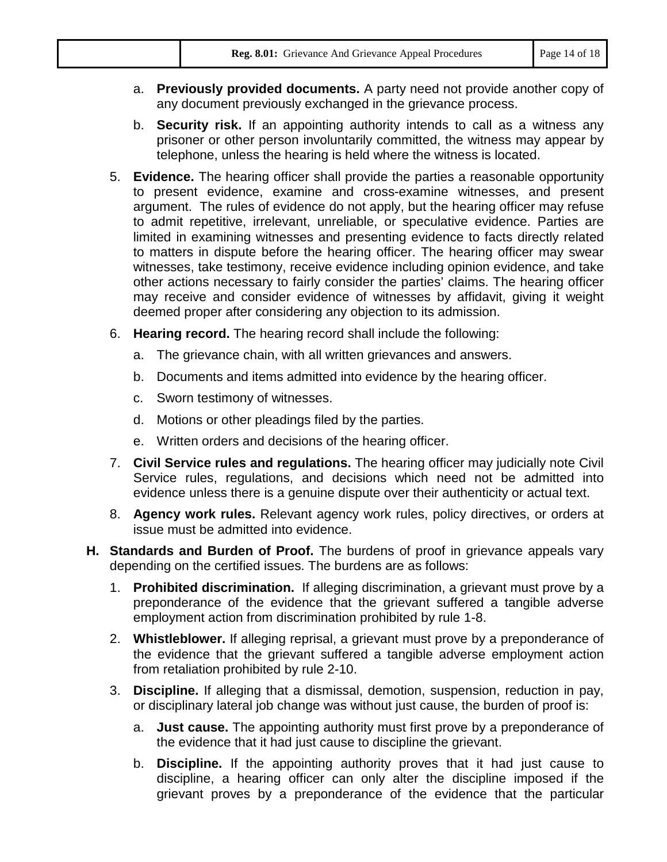| Reg. 8.01: Grievance And Grievance Appeal Procedures<br>Page 14 of 18 |
|-----------------------------------------------------------------------|
|-----------------------------------------------------------------------|

- a. **Previously provided documents.** A party need not provide another copy of any document previously exchanged in the grievance process.
- b. **Security risk.** If an appointing authority intends to call as a witness any prisoner or other person involuntarily committed, the witness may appear by telephone, unless the hearing is held where the witness is located.
- 5. **Evidence.** The hearing officer shall provide the parties a reasonable opportunity to present evidence, examine and cross-examine witnesses, and present argument. The rules of evidence do not apply, but the hearing officer may refuse to admit repetitive, irrelevant, unreliable, or speculative evidence. Parties are limited in examining witnesses and presenting evidence to facts directly related to matters in dispute before the hearing officer. The hearing officer may swear witnesses, take testimony, receive evidence including opinion evidence, and take other actions necessary to fairly consider the parties' claims. The hearing officer may receive and consider evidence of witnesses by affidavit, giving it weight deemed proper after considering any objection to its admission.
- 6. **Hearing record.** The hearing record shall include the following:
	- a. The grievance chain, with all written grievances and answers.
	- b. Documents and items admitted into evidence by the hearing officer.
	- c. Sworn testimony of witnesses.
	- d. Motions or other pleadings filed by the parties.
	- e. Written orders and decisions of the hearing officer.
- 7. **Civil Service rules and regulations.** The hearing officer may judicially note Civil Service rules, regulations, and decisions which need not be admitted into evidence unless there is a genuine dispute over their authenticity or actual text.
- 8. **Agency work rules.** Relevant agency work rules, policy directives, or orders at issue must be admitted into evidence.
- **H. Standards and Burden of Proof.** The burdens of proof in grievance appeals vary depending on the certified issues. The burdens are as follows:
	- 1. **Prohibited discrimination.** If alleging discrimination, a grievant must prove by a preponderance of the evidence that the grievant suffered a tangible adverse employment action from discrimination prohibited by rule 1-8.
	- 2. **Whistleblower.** If alleging reprisal, a grievant must prove by a preponderance of the evidence that the grievant suffered a tangible adverse employment action from retaliation prohibited by rule 2-10.
	- 3. **Discipline.** If alleging that a dismissal, demotion, suspension, reduction in pay, or disciplinary lateral job change was without just cause, the burden of proof is:
		- a. **Just cause.** The appointing authority must first prove by a preponderance of the evidence that it had just cause to discipline the grievant.
		- b. **Discipline.** If the appointing authority proves that it had just cause to discipline, a hearing officer can only alter the discipline imposed if the grievant proves by a preponderance of the evidence that the particular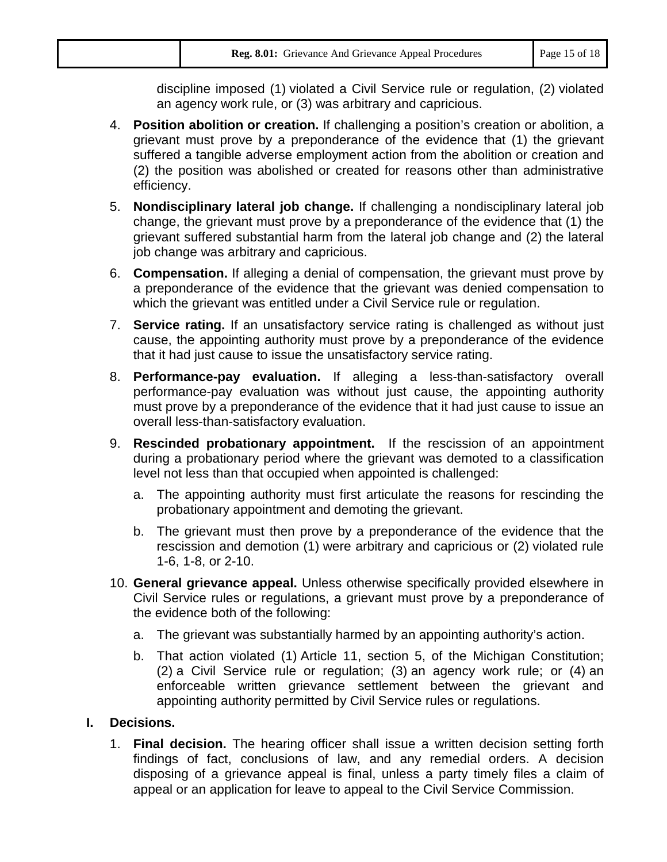|  | Reg. 8.01: Grievance And Grievance Appeal Procedures | Page 15 of 18 |
|--|------------------------------------------------------|---------------|
|--|------------------------------------------------------|---------------|

discipline imposed (1) violated a Civil Service rule or regulation, (2) violated an agency work rule, or (3) was arbitrary and capricious.

- 4. **Position abolition or creation.** If challenging a position's creation or abolition, a grievant must prove by a preponderance of the evidence that (1) the grievant suffered a tangible adverse employment action from the abolition or creation and (2) the position was abolished or created for reasons other than administrative efficiency.
- 5. **Nondisciplinary lateral job change.** If challenging a nondisciplinary lateral job change, the grievant must prove by a preponderance of the evidence that (1) the grievant suffered substantial harm from the lateral job change and (2) the lateral job change was arbitrary and capricious.
- 6. **Compensation.** If alleging a denial of compensation, the grievant must prove by a preponderance of the evidence that the grievant was denied compensation to which the grievant was entitled under a Civil Service rule or regulation.
- 7. **Service rating.** If an unsatisfactory service rating is challenged as without just cause, the appointing authority must prove by a preponderance of the evidence that it had just cause to issue the unsatisfactory service rating.
- 8. **Performance-pay evaluation.** If alleging a less-than-satisfactory overall performance-pay evaluation was without just cause, the appointing authority must prove by a preponderance of the evidence that it had just cause to issue an overall less-than-satisfactory evaluation.
- 9. **Rescinded probationary appointment.** If the rescission of an appointment during a probationary period where the grievant was demoted to a classification level not less than that occupied when appointed is challenged:
	- a. The appointing authority must first articulate the reasons for rescinding the probationary appointment and demoting the grievant.
	- b. The grievant must then prove by a preponderance of the evidence that the rescission and demotion (1) were arbitrary and capricious or (2) violated rule 1-6, 1-8, or 2-10.
- 10. **General grievance appeal.** Unless otherwise specifically provided elsewhere in Civil Service rules or regulations, a grievant must prove by a preponderance of the evidence both of the following:
	- a. The grievant was substantially harmed by an appointing authority's action.
	- b. That action violated (1) Article 11, section 5, of the Michigan Constitution; (2) a Civil Service rule or regulation; (3) an agency work rule; or (4) an enforceable written grievance settlement between the grievant and appointing authority permitted by Civil Service rules or regulations.

### **I. Decisions.**

1. **Final decision.** The hearing officer shall issue a written decision setting forth findings of fact, conclusions of law, and any remedial orders. A decision disposing of a grievance appeal is final, unless a party timely files a claim of appeal or an application for leave to appeal to the Civil Service Commission.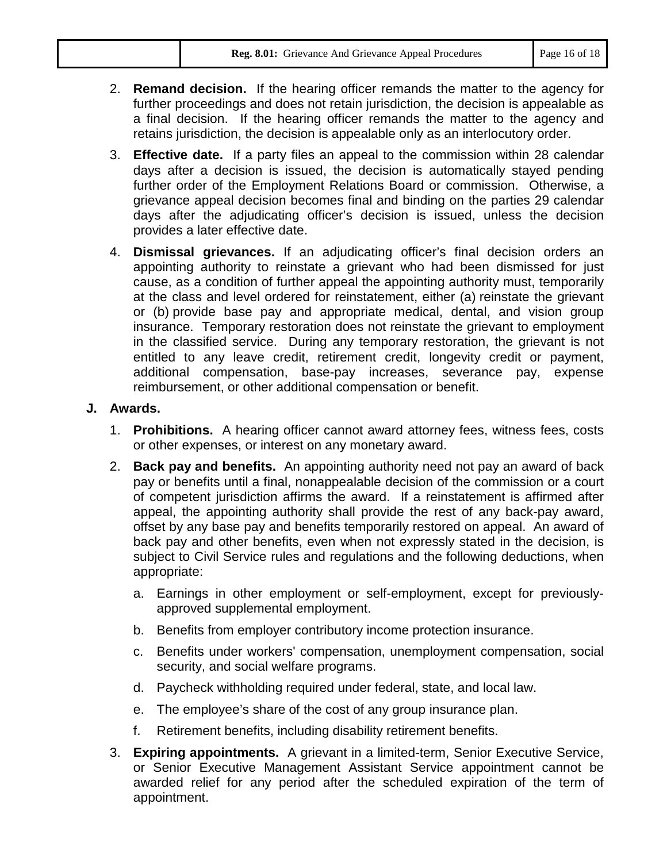- 2. **Remand decision.** If the hearing officer remands the matter to the agency for further proceedings and does not retain jurisdiction, the decision is appealable as a final decision. If the hearing officer remands the matter to the agency and retains jurisdiction, the decision is appealable only as an interlocutory order.
- 3. **Effective date.** If a party files an appeal to the commission within 28 calendar days after a decision is issued, the decision is automatically stayed pending further order of the Employment Relations Board or commission. Otherwise, a grievance appeal decision becomes final and binding on the parties 29 calendar days after the adjudicating officer's decision is issued, unless the decision provides a later effective date.
- 4. **Dismissal grievances.** If an adjudicating officer's final decision orders an appointing authority to reinstate a grievant who had been dismissed for just cause, as a condition of further appeal the appointing authority must, temporarily at the class and level ordered for reinstatement, either (a) reinstate the grievant or (b) provide base pay and appropriate medical, dental, and vision group insurance. Temporary restoration does not reinstate the grievant to employment in the classified service. During any temporary restoration, the grievant is not entitled to any leave credit, retirement credit, longevity credit or payment, additional compensation, base-pay increases, severance pay, expense reimbursement, or other additional compensation or benefit.

#### **J. Awards.**

- 1. **Prohibitions.** A hearing officer cannot award attorney fees, witness fees, costs or other expenses, or interest on any monetary award.
- 2. **Back pay and benefits.** An appointing authority need not pay an award of back pay or benefits until a final, nonappealable decision of the commission or a court of competent jurisdiction affirms the award. If a reinstatement is affirmed after appeal, the appointing authority shall provide the rest of any back-pay award, offset by any base pay and benefits temporarily restored on appeal. An award of back pay and other benefits, even when not expressly stated in the decision, is subject to Civil Service rules and regulations and the following deductions, when appropriate:
	- a. Earnings in other employment or self-employment, except for previouslyapproved supplemental employment.
	- b. Benefits from employer contributory income protection insurance.
	- c. Benefits under workers' compensation, unemployment compensation, social security, and social welfare programs.
	- d. Paycheck withholding required under federal, state, and local law.
	- e. The employee's share of the cost of any group insurance plan.
	- f. Retirement benefits, including disability retirement benefits.
- 3. **Expiring appointments.** A grievant in a limited-term, Senior Executive Service, or Senior Executive Management Assistant Service appointment cannot be awarded relief for any period after the scheduled expiration of the term of appointment.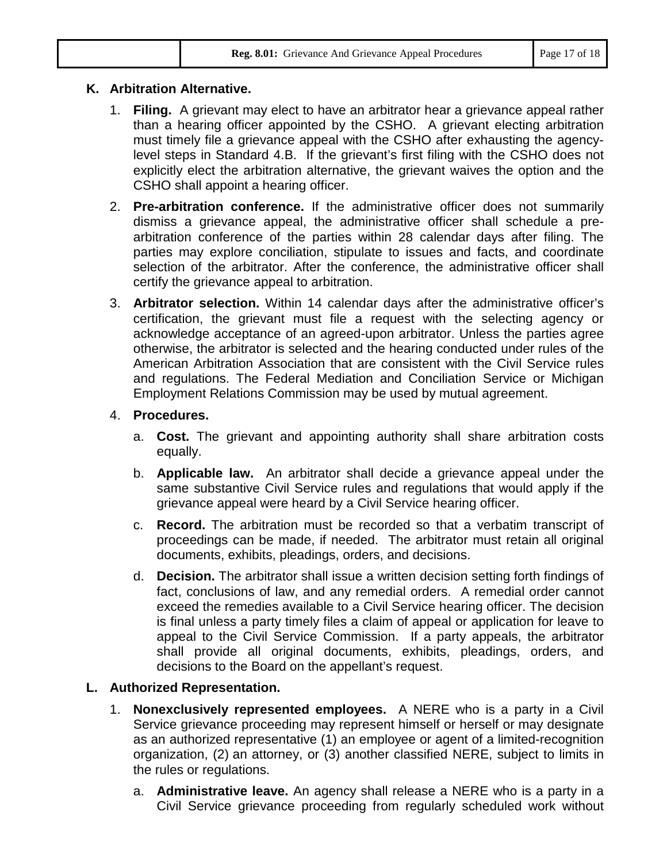| Page 17 of 18<br>Reg. 8.01: Grievance And Grievance Appeal Procedures |
|-----------------------------------------------------------------------|
|-----------------------------------------------------------------------|

## **K. Arbitration Alternative.**

- 1. **Filing.** A grievant may elect to have an arbitrator hear a grievance appeal rather than a hearing officer appointed by the CSHO. A grievant electing arbitration must timely file a grievance appeal with the CSHO after exhausting the agencylevel steps in Standard 4.B. If the grievant's first filing with the CSHO does not explicitly elect the arbitration alternative, the grievant waives the option and the CSHO shall appoint a hearing officer.
- 2. **Pre-arbitration conference.** If the administrative officer does not summarily dismiss a grievance appeal, the administrative officer shall schedule a prearbitration conference of the parties within 28 calendar days after filing. The parties may explore conciliation, stipulate to issues and facts, and coordinate selection of the arbitrator. After the conference, the administrative officer shall certify the grievance appeal to arbitration.
- 3. **Arbitrator selection.** Within 14 calendar days after the administrative officer's certification, the grievant must file a request with the selecting agency or acknowledge acceptance of an agreed-upon arbitrator. Unless the parties agree otherwise, the arbitrator is selected and the hearing conducted under rules of the American Arbitration Association that are consistent with the Civil Service rules and regulations. The Federal Mediation and Conciliation Service or Michigan Employment Relations Commission may be used by mutual agreement.

# 4. **Procedures.**

- a. **Cost.** The grievant and appointing authority shall share arbitration costs equally.
- b. **Applicable law.** An arbitrator shall decide a grievance appeal under the same substantive Civil Service rules and regulations that would apply if the grievance appeal were heard by a Civil Service hearing officer.
- c. **Record.** The arbitration must be recorded so that a verbatim transcript of proceedings can be made, if needed. The arbitrator must retain all original documents, exhibits, pleadings, orders, and decisions.
- d. **Decision.** The arbitrator shall issue a written decision setting forth findings of fact, conclusions of law, and any remedial orders. A remedial order cannot exceed the remedies available to a Civil Service hearing officer. The decision is final unless a party timely files a claim of appeal or application for leave to appeal to the Civil Service Commission. If a party appeals, the arbitrator shall provide all original documents, exhibits, pleadings, orders, and decisions to the Board on the appellant's request.

# **L. Authorized Representation.**

- 1. **Nonexclusively represented employees.** A NERE who is a party in a Civil Service grievance proceeding may represent himself or herself or may designate as an authorized representative (1) an employee or agent of a limited-recognition organization, (2) an attorney, or (3) another classified NERE, subject to limits in the rules or regulations.
	- a. **Administrative leave.** An agency shall release a NERE who is a party in a Civil Service grievance proceeding from regularly scheduled work without